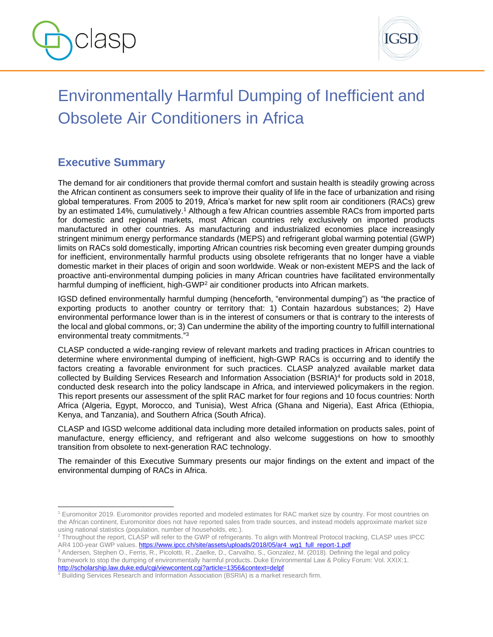



# Environmentally Harmful Dumping of Inefficient and Obsolete Air Conditioners in Africa

# **Executive Summary**

The demand for air conditioners that provide thermal comfort and sustain health is steadily growing across the African continent as consumers seek to improve their quality of life in the face of urbanization and rising global temperatures. From 2005 to 2019, Africa's market for new split room air conditioners (RACs) grew by an estimated 14%, cumulatively.<sup>1</sup> Although a few African countries assemble RACs from imported parts for domestic and regional markets, most African countries rely exclusively on imported products manufactured in other countries. As manufacturing and industrialized economies place increasingly stringent minimum energy performance standards (MEPS) and refrigerant global warming potential (GWP) limits on RACs sold domestically, importing African countries risk becoming even greater dumping grounds for inefficient, environmentally harmful products using obsolete refrigerants that no longer have a viable domestic market in their places of origin and soon worldwide. Weak or non-existent MEPS and the lack of proactive anti-environmental dumping policies in many African countries have facilitated environmentally harmful dumping of inefficient, high-GWP<sup>2</sup> air conditioner products into African markets.

IGSD defined environmentally harmful dumping (henceforth, "environmental dumping") as "the practice of exporting products to another country or territory that: 1) Contain hazardous substances; 2) Have environmental performance lower than is in the interest of consumers or that is contrary to the interests of the local and global commons, or; 3) Can undermine the ability of the importing country to fulfill international environmental treaty commitments."<sup>3</sup>

CLASP conducted a wide-ranging review of relevant markets and trading practices in African countries to determine where environmental dumping of inefficient, high-GWP RACs is occurring and to identify the factors creating a favorable environment for such practices. CLASP analyzed available market data collected by Building Services Research and Information Association (BSRIA) 4 for products sold in 2018, conducted desk research into the policy landscape in Africa, and interviewed policymakers in the region. This report presents our assessment of the split RAC market for four regions and 10 focus countries: North Africa (Algeria, Egypt, Morocco, and Tunisia), West Africa (Ghana and Nigeria), East Africa (Ethiopia, Kenya, and Tanzania), and Southern Africa (South Africa).

CLASP and IGSD welcome additional data including more detailed information on products sales, point of manufacture, energy efficiency, and refrigerant and also welcome suggestions on how to smoothly transition from obsolete to next-generation RAC technology.

The remainder of this Executive Summary presents our major findings on the extent and impact of the environmental dumping of RACs in Africa.

<sup>&</sup>lt;sup>1</sup> Euromonitor 2019. Euromonitor provides reported and modeled estimates for RAC market size by country. For most countries on the African continent, Euromonitor does not have reported sales from trade sources, and instead models approximate market size using national statistics (population, number of households, etc.).

<sup>2</sup> Throughout the report, CLASP will refer to the GWP of refrigerants. To align with Montreal Protocol tracking, CLASP uses IPCC AR4 100-year GWP values[. https://www.ipcc.ch/site/assets/uploads/2018/05/ar4\\_wg1\\_full\\_report-1.pdf](https://www.ipcc.ch/site/assets/uploads/2018/05/ar4_wg1_full_report-1.pdf)

<sup>3</sup> Andersen, Stephen O., Ferris, R., Picolotti, R., Zaelke, D., Carvalho, S., Gonzalez, M. (2018). Defining the legal and policy framework to stop the dumping of environmentally harmful products. Duke Environmental Law & Policy Forum: Vol. XXIX:1. <http://scholarship.law.duke.edu/cgi/viewcontent.cgi?article=1356&context=delpf>

<sup>4</sup> Building Services Research and Information Association (BSRIA) is a market research firm.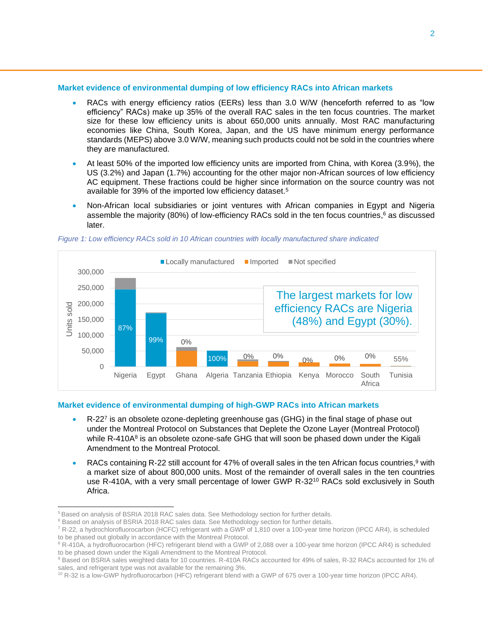### **Market evidence of environmental dumping of low efficiency RACs into African markets**

- RACs with energy efficiency ratios (EERs) less than 3.0 W/W (henceforth referred to as "low efficiency" RACs) make up 35% of the overall RAC sales in the ten focus countries. The market size for these low efficiency units is about 650,000 units annually. Most RAC manufacturing economies like China, South Korea, Japan, and the US have minimum energy performance standards (MEPS) above 3.0 W/W, meaning such products could not be sold in the countries where they are manufactured.
- At least 50% of the imported low efficiency units are imported from China, with Korea (3.9%), the US (3.2%) and Japan (1.7%) accounting for the other major non-African sources of low efficiency AC equipment. These fractions could be higher since information on the source country was not available for 39% of the imported low efficiency dataset.<sup>5</sup>
- Non-African local subsidiaries or joint ventures with African companies in Egypt and Nigeria assemble the majority (80%) of low-efficiency RACs sold in the ten focus countries, <sup>6</sup> as discussed later.



#### *Figure 1: Low efficiency RACs sold in 10 African countries with locally manufactured share indicated*

# **Market evidence of environmental dumping of high-GWP RACs into African markets**

- R-22<sup>7</sup> is an obsolete ozone-depleting greenhouse gas (GHG) in the final stage of phase out under the Montreal Protocol on Substances that Deplete the Ozone Layer (Montreal Protocol) while R-410A<sup>8</sup> is an obsolete ozone-safe GHG that will soon be phased down under the Kigali Amendment to the Montreal Protocol.
- RACs containing R-22 still account for 47% of overall sales in the ten African focus countries,<sup>9</sup> with a market size of about 800,000 units. Most of the remainder of overall sales in the ten countries use R-410A, with a very small percentage of lower GWP R-32<sup>10</sup> RACs sold exclusively in South Africa.

<sup>&</sup>lt;sup>5</sup> Based on analysis of BSRIA 2018 RAC sales data. See Methodology section for further details.

<sup>&</sup>lt;sup>6</sup> Based on analysis of BSRIA 2018 RAC sales data. See Methodology section for further details.

<sup>7</sup> R-22, a hydrochlorofluorocarbon (HCFC) refrigerant with a GWP of 1,810 over a 100-year time horizon (IPCC AR4), is scheduled to be phased out globally in accordance with the Montreal Protocol.

<sup>&</sup>lt;sup>8</sup> R-410A, a hydrofluorocarbon (HFC) refrigerant blend with a GWP of 2,088 over a 100-year time horizon (IPCC AR4) is scheduled to be phased down under the Kigali Amendment to the Montreal Protocol.

<sup>9</sup> Based on BSRIA sales weighted data for 10 countries. R-410A RACs accounted for 49% of sales, R-32 RACs accounted for 1% of sales, and refrigerant type was not available for the remaining 3%.

<sup>10</sup> R-32 is a low-GWP hydrofluorocarbon (HFC) refrigerant blend with a GWP of 675 over a 100-year time horizon (IPCC AR4).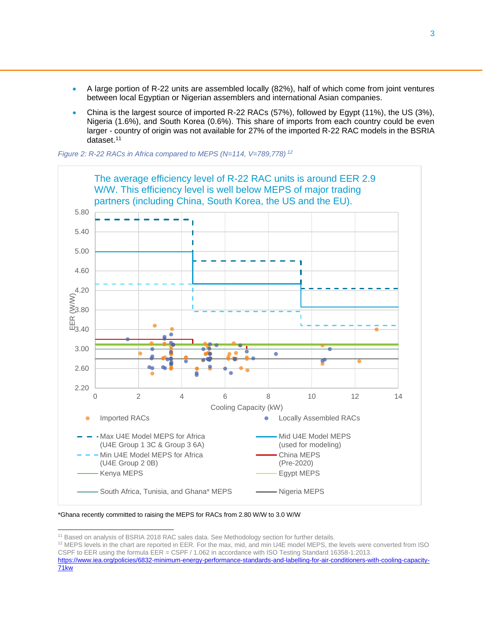- A large portion of R-22 units are assembled locally (82%), half of which come from joint ventures between local Egyptian or Nigerian assemblers and international Asian companies.
- China is the largest source of imported R-22 RACs (57%), followed by Egypt (11%), the US (3%), Nigeria (1.6%), and South Korea (0.6%). This share of imports from each country could be even larger - country of origin was not available for 27% of the imported R-22 RAC models in the BSRIA dataset. 11

*Figure 2: R-22 RACs in Africa compared to MEPS (N=114, V=789,778) <sup>12</sup>*



<sup>\*</sup>Ghana recently committed to raising the MEPS for RACs from 2.80 W/W to 3.0 W/W

<sup>&</sup>lt;sup>11</sup> Based on analysis of BSRIA 2018 RAC sales data. See Methodology section for further details.

<sup>&</sup>lt;sup>12</sup> MEPS levels in the chart are reported in EER. For the max, mid, and min U4E model MEPS, the levels were converted from ISO CSPF to EER using the formula EER = CSPF / 1.062 in accordance with ISO Testing Standard 16358-1:2013.

[https://www.iea.org/policies/6832-minimum-energy-performance-standards-and-labelling-for-air-conditioners-with-cooling-capacity-](https://www.iea.org/policies/6832-minimum-energy-performance-standards-and-labelling-for-air-conditioners-with-cooling-capacity-71kw)[71kw](https://www.iea.org/policies/6832-minimum-energy-performance-standards-and-labelling-for-air-conditioners-with-cooling-capacity-71kw)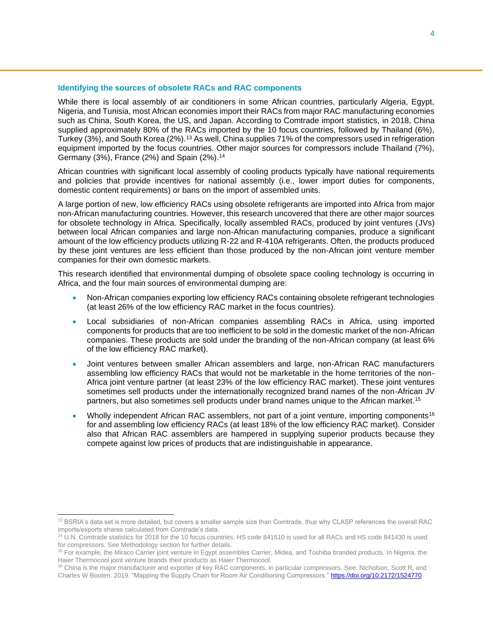# **Identifying the sources of obsolete RACs and RAC components**

While there is local assembly of air conditioners in some African countries, particularly Algeria, Egypt, Nigeria, and Tunisia, most African economies import their RACs from major RAC manufacturing economies such as China, South Korea, the US, and Japan. According to Comtrade import statistics, in 2018, China supplied approximately 80% of the RACs imported by the 10 focus countries, followed by Thailand (6%), Turkey (3%), and South Korea (2%).<sup>13</sup> As well, China supplies 71% of the compressors used in refrigeration equipment imported by the focus countries. Other major sources for compressors include Thailand (7%), Germany (3%), France (2%) and Spain (2%). 14

African countries with significant local assembly of cooling products typically have national requirements and policies that provide incentives for national assembly (i.e., lower import duties for components, domestic content requirements) or bans on the import of assembled units.

A large portion of new, low efficiency RACs using obsolete refrigerants are imported into Africa from major non-African manufacturing countries. However, this research uncovered that there are other major sources for obsolete technology in Africa. Specifically, locally assembled RACs, produced by joint ventures (JVs) between local African companies and large non-African manufacturing companies, produce a significant amount of the low efficiency products utilizing R-22 and R-410A refrigerants. Often, the products produced by these joint ventures are less efficient than those produced by the non-African joint venture member companies for their own domestic markets.

This research identified that environmental dumping of obsolete space cooling technology is occurring in Africa, and the four main sources of environmental dumping are:

- Non-African companies exporting low efficiency RACs containing obsolete refrigerant technologies (at least 26% of the low efficiency RAC market in the focus countries).
- Local subsidiaries of non-African companies assembling RACs in Africa, using imported components for products that are too inefficient to be sold in the domestic market of the non-African companies. These products are sold under the branding of the non-African company (at least 6% of the low efficiency RAC market).
- Joint ventures between smaller African assemblers and large, non-African RAC manufacturers assembling low efficiency RACs that would not be marketable in the home territories of the non-Africa joint venture partner (at least 23% of the low efficiency RAC market). These joint ventures sometimes sell products under the internationally recognized brand names of the non-African JV partners, but also sometimes sell products under brand names unique to the African market.<sup>15</sup>
- Wholly independent African RAC assemblers, not part of a joint venture, importing components<sup>16</sup> for and assembling low efficiency RACs (at least 18% of the low efficiency RAC market). Consider also that African RAC assemblers are hampered in supplying superior products because they compete against low prices of products that are indistinguishable in appearance.

<sup>&</sup>lt;sup>13</sup> BSRIA's data set is more detailed, but covers a smaller sample size than Comtrade, thus why CLASP references the overall RAC imports/exports shares calculated from Comtrade's data.

<sup>14</sup> U.N. Comtrade statistics for 2018 for the 10 focus countries. HS code 841510 is used for all RACs and HS code 841430 is used for compressors. See Methodology section for further details.

<sup>&</sup>lt;sup>15</sup> For example, the Miraco Carrier joint venture in Egypt assembles Carrier, Midea, and Toshiba branded products. In Nigeria, the Haier Thermocool joint venture brands their products as Haier Thermocool.

<sup>&</sup>lt;sup>16</sup> China is the major manufacturer and exporter of key RAC components, in particular compressors. See: Nicholson, Scott R, and Charles W Booten. 2019. "Mapping the Supply Chain for Room Air Conditioning Compressors."<https://doi.org/10.2172/1524770>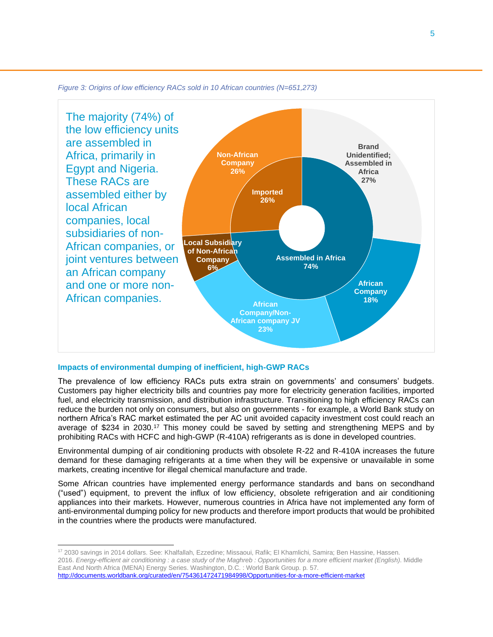



#### **Impacts of environmental dumping of inefficient, high-GWP RACs**

The prevalence of low efficiency RACs puts extra strain on governments' and consumers' budgets. Customers pay higher electricity bills and countries pay more for electricity generation facilities, imported fuel, and electricity transmission, and distribution infrastructure. Transitioning to high efficiency RACs can reduce the burden not only on consumers, but also on governments - for example, a World Bank study on northern Africa's RAC market estimated the per AC unit avoided capacity investment cost could reach an average of \$234 in 2030.<sup>17</sup> This money could be saved by setting and strengthening MEPS and by prohibiting RACs with HCFC and high-GWP (R-410A) refrigerants as is done in developed countries.

Environmental dumping of air conditioning products with obsolete R-22 and R-410A increases the future demand for these damaging refrigerants at a time when they will be expensive or unavailable in some markets, creating incentive for illegal chemical manufacture and trade.

Some African countries have implemented energy performance standards and bans on secondhand ("used") equipment, to prevent the influx of low efficiency, obsolete refrigeration and air conditioning appliances into their markets. However, numerous countries in Africa have not implemented any form of anti-environmental dumping policy for new products and therefore import products that would be prohibited in the countries where the products were manufactured.

<sup>17 2030</sup> savings in 2014 dollars. See: Khalfallah, Ezzedine; Missaoui, Rafik; El Khamlichi, Samira; Ben Hassine, Hassen. 2016. Energy-efficient air conditioning : a case study of the Maghreb : Opportunities for a more efficient market (English). Middle East And North Africa (MENA) Energy Series. Washington, D.C. : World Bank Group. p. 57. <http://documents.worldbank.org/curated/en/754361472471984998/Opportunities-for-a-more-efficient-market>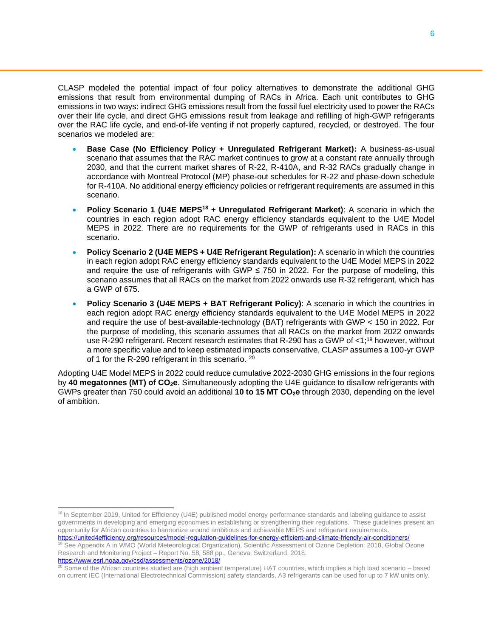CLASP modeled the potential impact of four policy alternatives to demonstrate the additional GHG emissions that result from environmental dumping of RACs in Africa. Each unit contributes to GHG emissions in two ways: indirect GHG emissions result from the fossil fuel electricity used to power the RACs over their life cycle, and direct GHG emissions result from leakage and refilling of high-GWP refrigerants over the RAC life cycle, and end-of-life venting if not properly captured, recycled, or destroyed. The four scenarios we modeled are:

- **Base Case (No Efficiency Policy + Unregulated Refrigerant Market):** A business-as-usual scenario that assumes that the RAC market continues to grow at a constant rate annually through 2030, and that the current market shares of R-22, R-410A, and R-32 RACs gradually change in accordance with Montreal Protocol (MP) phase-out schedules for R-22 and phase-down schedule for R-410A. No additional energy efficiency policies or refrigerant requirements are assumed in this scenario.
- **Policy Scenario 1 (U4E MEPS<sup>18</sup> + Unregulated Refrigerant Market)**: A scenario in which the countries in each region adopt RAC energy efficiency standards equivalent to the U4E Model MEPS in 2022. There are no requirements for the GWP of refrigerants used in RACs in this scenario.
- **Policy Scenario 2 (U4E MEPS + U4E Refrigerant Regulation):** A scenario in which the countries in each region adopt RAC energy efficiency standards equivalent to the U4E Model MEPS in 2022 and require the use of refrigerants with GWP  $\leq$  750 in 2022. For the purpose of modeling, this scenario assumes that all RACs on the market from 2022 onwards use R-32 refrigerant, which has a GWP of 675.
- **Policy Scenario 3 (U4E MEPS + BAT Refrigerant Policy)**: A scenario in which the countries in each region adopt RAC energy efficiency standards equivalent to the U4E Model MEPS in 2022 and require the use of best-available-technology (BAT) refrigerants with GWP < 150 in 2022. For the purpose of modeling, this scenario assumes that all RACs on the market from 2022 onwards use R-290 refrigerant. Recent research estimates that R-290 has a GWP of <1;<sup>19</sup> however, without a more specific value and to keep estimated impacts conservative, CLASP assumes a 100-yr GWP of 1 for the R-290 refrigerant in this scenario. <sup>20</sup>

Adopting U4E Model MEPS in 2022 could reduce cumulative 2022-2030 GHG emissions in the four regions by **40 megatonnes (MT) of CO2e**. Simultaneously adopting the U4E guidance to disallow refrigerants with GWPs greater than 750 could avoid an additional **10 to 15 MT CO2e** through 2030, depending on the level of ambition.

<https://www.esrl.noaa.gov/csd/assessments/ozone/2018/>

<sup>&</sup>lt;sup>18</sup> In September 2019, United for Efficiency (U4E) published model energy performance standards and labeling guidance to assist governments in developing and emerging economies in establishing or strengthening their regulations. These guidelines present an opportunity for African countries to harmonize around ambitious and achievable MEPS and refrigerant requirements. <https://united4efficiency.org/resources/model-regulation-guidelines-for-energy-efficient-and-climate-friendly-air-conditioners/>

<sup>&</sup>lt;sup>19</sup> See Appendix A in WMO (World Meteorological Organization), Scientific Assessment of Ozone Depletion: 2018, Global Ozone Research and Monitoring Project – Report No. 58, 588 pp., Geneva, Switzerland, 2018.

<sup>&</sup>lt;sup>20</sup> Some of the African countries studied are (high ambient temperature) HAT countries, which implies a high load scenario – based on current IEC (International Electrotechnical Commission) safety standards, A3 refrigerants can be used for up to 7 kW units only.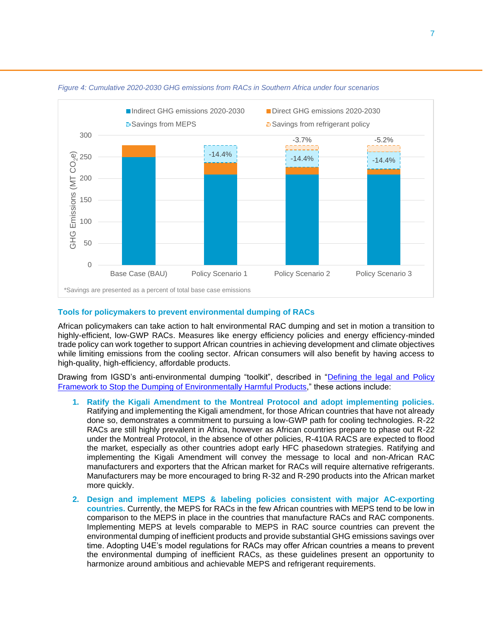

#### *Figure 4: Cumulative 2020-2030 GHG emissions from RACs in Southern Africa under four scenarios*

#### **Tools for policymakers to prevent environmental dumping of RACs**

African policymakers can take action to halt environmental RAC dumping and set in motion a transition to highly-efficient, low-GWP RACs. Measures like energy efficiency policies and energy efficiency-minded trade policy can work together to support African countries in achieving development and climate objectives while limiting emissions from the cooling sector. African consumers will also benefit by having access to high-quality, high-efficiency, affordable products.

Drawing from IGSD's anti-environmental dumping "toolkit", described in ["Defining the legal and Policy](https://delpf.law.duke.edu/article/defining-the-legal-and-policy-framework-to-stop-the-dumping-of-environmentally-harmful-products-andersen-vol29-iss1/)  [Framework to Stop the Dumping of Environmentally Harmful Products,](https://delpf.law.duke.edu/article/defining-the-legal-and-policy-framework-to-stop-the-dumping-of-environmentally-harmful-products-andersen-vol29-iss1/)" these actions include:

- **1. Ratify the Kigali Amendment to the Montreal Protocol and adopt implementing policies.** Ratifying and implementing the Kigali amendment, for those African countries that have not already done so, demonstrates a commitment to pursuing a low-GWP path for cooling technologies. R-22 RACs are still highly prevalent in Africa, however as African countries prepare to phase out R-22 under the Montreal Protocol, in the absence of other policies, R-410A RACS are expected to flood the market, especially as other countries adopt early HFC phasedown strategies. Ratifying and implementing the Kigali Amendment will convey the message to local and non-African RAC manufacturers and exporters that the African market for RACs will require alternative refrigerants. Manufacturers may be more encouraged to bring R-32 and R-290 products into the African market more quickly.
- **2. Design and implement MEPS & labeling policies consistent with major AC-exporting countries.** Currently, the MEPS for RACs in the few African countries with MEPS tend to be low in comparison to the MEPS in place in the countries that manufacture RACs and RAC components. Implementing MEPS at levels comparable to MEPS in RAC source countries can prevent the environmental dumping of inefficient products and provide substantial GHG emissions savings over time. Adopting U4E's model regulations for RACs may offer African countries a means to prevent the environmental dumping of inefficient RACs, as these guidelines present an opportunity to harmonize around ambitious and achievable MEPS and refrigerant requirements.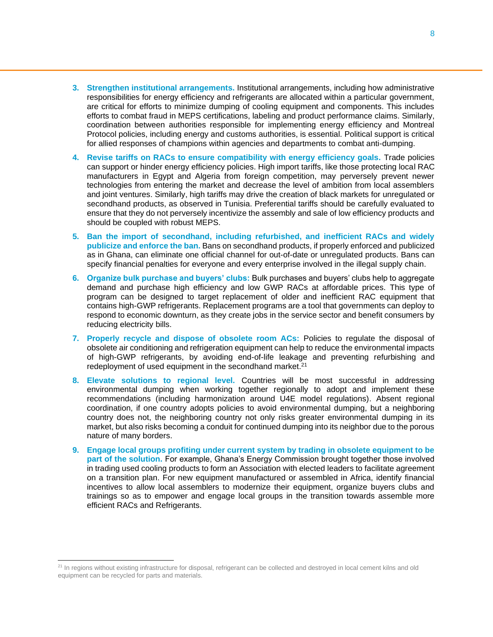- **3. Strengthen institutional arrangements.** Institutional arrangements, including how administrative responsibilities for energy efficiency and refrigerants are allocated within a particular government, are critical for efforts to minimize dumping of cooling equipment and components. This includes efforts to combat fraud in MEPS certifications, labeling and product performance claims. Similarly, coordination between authorities responsible for implementing energy efficiency and Montreal Protocol policies, including energy and customs authorities, is essential. Political support is critical for allied responses of champions within agencies and departments to combat anti-dumping.
- **4. Revise tariffs on RACs to ensure compatibility with energy efficiency goals.** Trade policies can support or hinder energy efficiency policies. High import tariffs, like those protecting local RAC manufacturers in Egypt and Algeria from foreign competition, may perversely prevent newer technologies from entering the market and decrease the level of ambition from local assemblers and joint ventures. Similarly, high tariffs may drive the creation of black markets for unregulated or secondhand products, as observed in Tunisia. Preferential tariffs should be carefully evaluated to ensure that they do not perversely incentivize the assembly and sale of low efficiency products and should be coupled with robust MEPS.
- **5. Ban the import of secondhand, including refurbished, and inefficient RACs and widely publicize and enforce the ban.** Bans on secondhand products, if properly enforced and publicized as in Ghana, can eliminate one official channel for out-of-date or unregulated products. Bans can specify financial penalties for everyone and every enterprise involved in the illegal supply chain.
- **6. Organize bulk purchase and buyers' clubs:** Bulk purchases and buyers' clubs help to aggregate demand and purchase high efficiency and low GWP RACs at affordable prices. This type of program can be designed to target replacement of older and inefficient RAC equipment that contains high-GWP refrigerants. Replacement programs are a tool that governments can deploy to respond to economic downturn, as they create jobs in the service sector and benefit consumers by reducing electricity bills.
- **7. Properly recycle and dispose of obsolete room ACs:** Policies to regulate the disposal of obsolete air conditioning and refrigeration equipment can help to reduce the environmental impacts of high-GWP refrigerants, by avoiding end-of-life leakage and preventing refurbishing and redeployment of used equipment in the secondhand market.<sup>21</sup>
- **8. Elevate solutions to regional level.** Countries will be most successful in addressing environmental dumping when working together regionally to adopt and implement these recommendations (including harmonization around U4E model regulations). Absent regional coordination, if one country adopts policies to avoid environmental dumping, but a neighboring country does not, the neighboring country not only risks greater environmental dumping in its market, but also risks becoming a conduit for continued dumping into its neighbor due to the porous nature of many borders.
- **9. Engage local groups profiting under current system by trading in obsolete equipment to be part of the solution.** For example, Ghana's Energy Commission brought together those involved in trading used cooling products to form an Association with elected leaders to facilitate agreement on a transition plan. For new equipment manufactured or assembled in Africa, identify financial incentives to allow local assemblers to modernize their equipment, organize buyers clubs and trainings so as to empower and engage local groups in the transition towards assemble more efficient RACs and Refrigerants.

<sup>&</sup>lt;sup>21</sup> In regions without existing infrastructure for disposal, refrigerant can be collected and destroyed in local cement kilns and old equipment can be recycled for parts and materials.